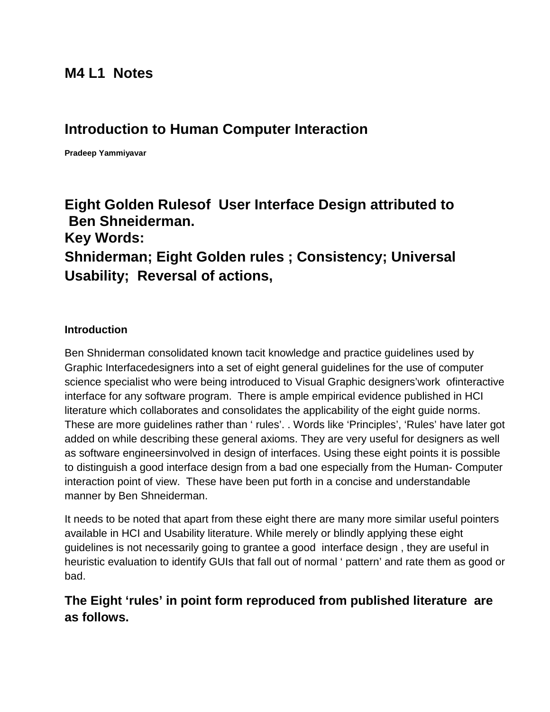# **M4 L1 Notes**

# **Introduction to Human Computer Interaction**

**Pradeep Yammiyavar**

# **Eight Golden Rulesof User Interface Design attributed to Ben Shneiderman.**

**Key Words: Shniderman; Eight Golden rules ; Consistency; Universal Usability; Reversal of actions,** 

#### **Introduction**

Ben Shniderman consolidated known tacit knowledge and practice guidelines used by Graphic Interfacedesigners into a set of eight general guidelines for the use of computer science specialist who were being introduced to Visual Graphic designers'work ofinteractive interface for any software program. There is ample empirical evidence published in HCI literature which collaborates and consolidates the applicability of the eight guide norms. These are more guidelines rather than ' rules'. . Words like 'Principles', 'Rules' have later got added on while describing these general axioms. They are very useful for designers as well as software engineersinvolved in design of interfaces. Using these eight points it is possible to distinguish a good interface design from a bad one especially from the Human- Computer interaction point of view. These have been put forth in a concise and understandable manner by Ben Shneiderman.

It needs to be noted that apart from these eight there are many more similar useful pointers available in HCI and Usability literature. While merely or blindly applying these eight guidelines is not necessarily going to grantee a good interface design , they are useful in heuristic evaluation to identify GUIs that fall out of normal ' pattern' and rate them as good or bad.

### **The Eight 'rules' in point form reproduced from published literature are as follows.**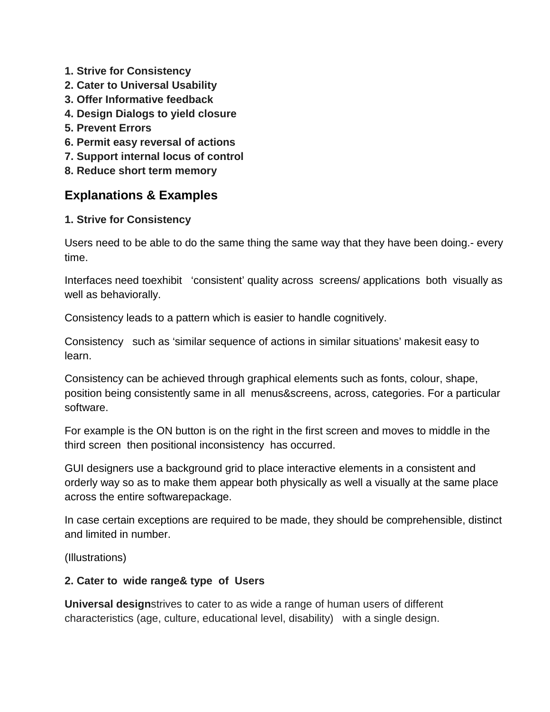- **1. Strive for Consistency**
- **2. Cater to Universal Usability**
- **3. Offer Informative feedback**
- **4. Design Dialogs to yield closure**
- **5. Prevent Errors**
- **6. Permit easy reversal of actions**
- **7. Support internal locus of control**
- **8. Reduce short term memory**

### **Explanations & Examples**

#### **1. Strive for Consistency**

Users need to be able to do the same thing the same way that they have been doing.- every time.

Interfaces need toexhibit 'consistent' quality across screens/ applications both visually as well as behaviorally.

Consistency leads to a pattern which is easier to handle cognitively.

Consistency such as 'similar sequence of actions in similar situations' makesit easy to learn.

Consistency can be achieved through graphical elements such as fonts, colour, shape, position being consistently same in all menus&screens, across, categories. For a particular software.

For example is the ON button is on the right in the first screen and moves to middle in the third screen then positional inconsistency has occurred.

GUI designers use a background grid to place interactive elements in a consistent and orderly way so as to make them appear both physically as well a visually at the same place across the entire softwarepackage.

In case certain exceptions are required to be made, they should be comprehensible, distinct and limited in number.

(Illustrations)

#### **2. Cater to wide range& type of Users**

**Universal design**strives to cater to as wide a range of human users of different characteristics (age, culture, educational level, disability) with a single design.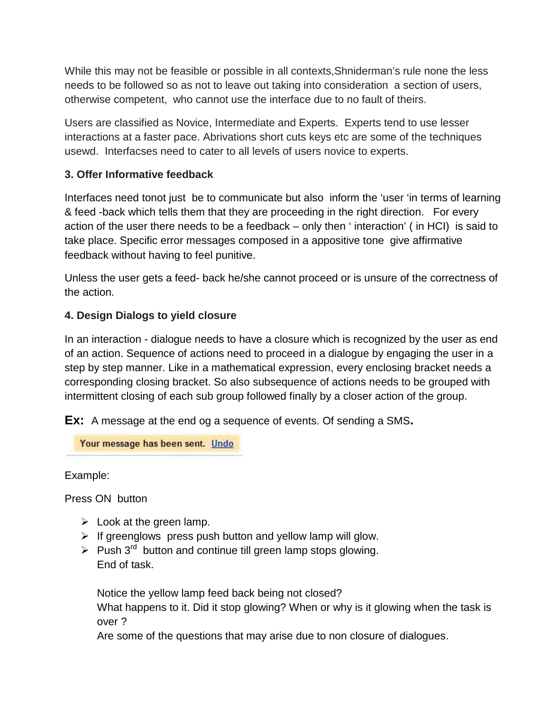While this may not be feasible or possible in all contexts,Shniderman's rule none the less needs to be followed so as not to leave out taking into consideration a section of users, otherwise competent, who cannot use the interface due to no fault of theirs.

Users are classified as Novice, Intermediate and Experts. Experts tend to use lesser interactions at a faster pace. Abrivations short cuts keys etc are some of the techniques usewd. Interfacses need to cater to all levels of users novice to experts.

#### **3. Offer Informative feedback**

Interfaces need tonot just be to communicate but also inform the 'user 'in terms of learning & feed -back which tells them that they are proceeding in the right direction. For every action of the user there needs to be a feedback – only then ' interaction' ( in HCI) is said to take place. Specific error messages composed in a appositive tone give affirmative feedback without having to feel punitive.

Unless the user gets a feed- back he/she cannot proceed or is unsure of the correctness of the action.

#### **4. Design Dialogs to yield closure**

In an interaction - dialogue needs to have a closure which is recognized by the user as end of an action. Sequence of actions need to proceed in a dialogue by engaging the user in a step by step manner. Like in a mathematical expression, every enclosing bracket needs a corresponding closing bracket. So also subsequence of actions needs to be grouped with intermittent closing of each sub group followed finally by a closer action of the group.

**Ex:** A message at the end og a sequence of events. Of sending a SMS**.**

Your message has been sent. Undo

Example:

Press ON button

- $\triangleright$  Look at the green lamp.
- $\triangleright$  If greenglows press push button and yellow lamp will glow.
- $\triangleright$  Push 3<sup>rd</sup> button and continue till green lamp stops glowing. End of task.

Notice the yellow lamp feed back being not closed? What happens to it. Did it stop glowing? When or why is it glowing when the task is over ?

Are some of the questions that may arise due to non closure of dialogues.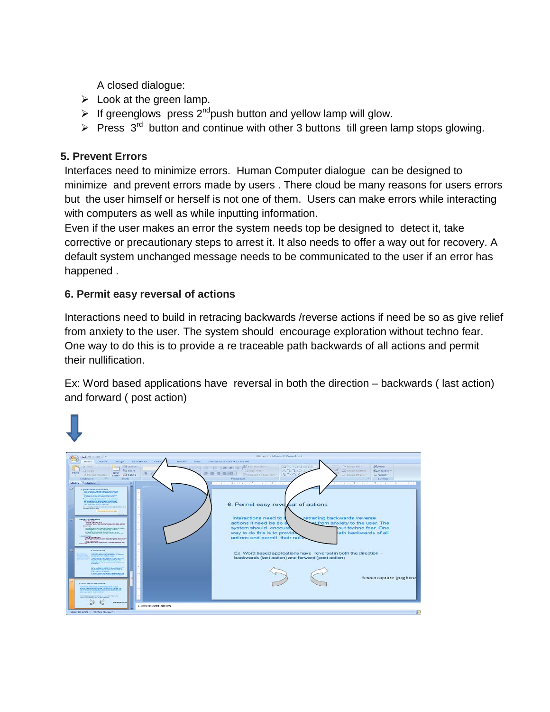A closed dialogue:

- $\triangleright$  Look at the green lamp.
- If greenglows press  $2^{nd}$ push button and yellow lamp will glow.
- Press  $3<sup>rd</sup>$  button and continue with other 3 buttons till green lamp stops glowing.

#### **5. Prevent Errors**

Interfaces need to minimize errors. Human Computer dialogue can be designed to minimize and prevent errors made by users . There cloud be many reasons for users errors but the user himself or herself is not one of them. Users can make errors while interacting with computers as well as while inputting information.

Even if the user makes an error the system needs top be designed to detect it, take corrective or precautionary steps to arrest it. It also needs to offer a way out for recovery. A default system unchanged message needs to be communicated to the user if an error has happened .

#### **6. Permit easy reversal of actions**

Interactions need to build in retracing backwards /reverse actions if need be so as give relief from anxiety to the user. The system should encourage exploration without techno fear. One way to do this is to provide a re traceable path backwards of all actions and permit their nullification.

Ex: Word based applications have reversal in both the direction – backwards ( last action) and forward ( post action)

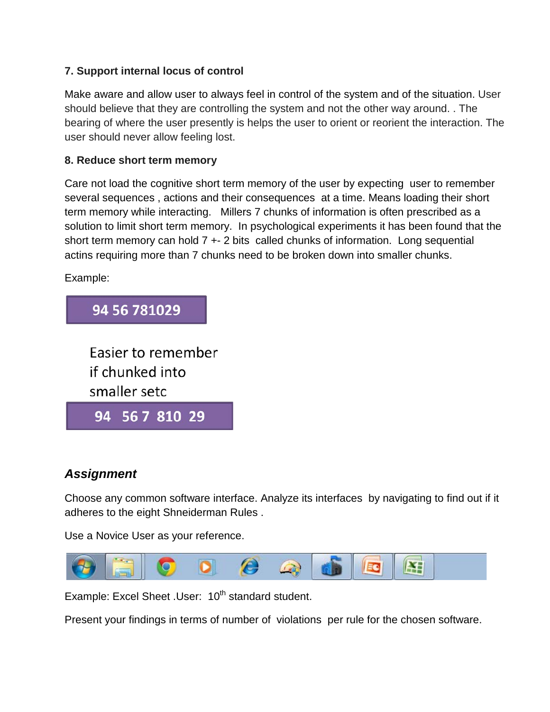#### **7. Support internal locus of control**

Make aware and allow user to always feel in control of the system and of the situation. User should believe that they are controlling the system and not the other way around. . The bearing of where the user presently is helps the user to orient or reorient the interaction. The user should never allow feeling lost.

#### **8. Reduce short term memory**

Care not load the cognitive short term memory of the user by expecting user to remember several sequences , actions and their consequences at a time. Means loading their short term memory while interacting. Millers 7 chunks of information is often prescribed as a solution to limit short term memory. In psychological experiments it has been found that the short term memory can hold  $7 + 2$  bits called chunks of information. Long sequential actins requiring more than 7 chunks need to be broken down into smaller chunks.

Example:



## *Assignment*

Choose any common software interface. Analyze its interfaces by navigating to find out if it adheres to the eight Shneiderman Rules .

Use a Novice User as your reference.



Example: Excel Sheet .User: 10<sup>th</sup> standard student.

Present your findings in terms of number of violations per rule for the chosen software.